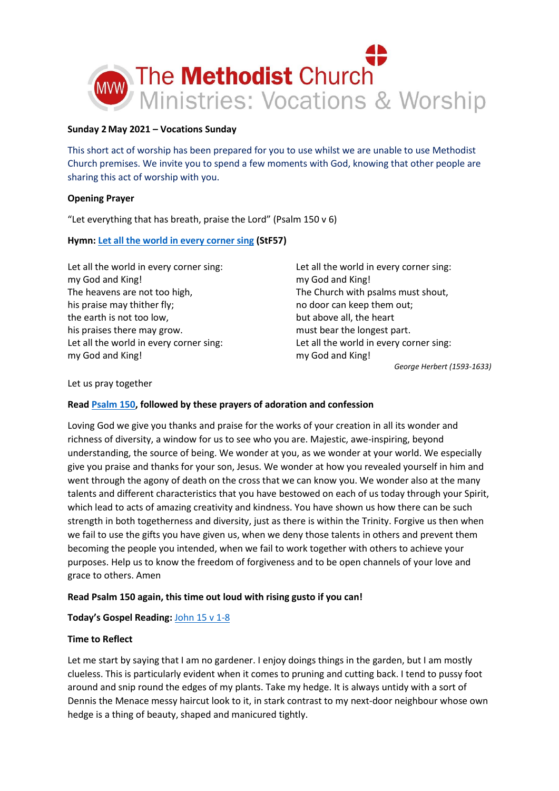

## **Sunday 2May 2021 – Vocations Sunday**

This short act of worship has been prepared for you to use whilst we are unable to use Methodist Church premises. We invite you to spend a few moments with God, knowing that other people are sharing this act of worship with you.

# **Opening Prayer**

"Let everything that has breath, praise the Lord" (Psalm 150 v 6)

# **Hymn[: Let all the world in every corner sing](https://youtu.be/PfXldoDnvq4) (StF57)**

Let all the world in every corner sing: my God and King! The heavens are not too high, his praise may thither fly; the earth is not too low, his praises there may grow. Let all the world in every corner sing: my God and King!

Let all the world in every corner sing: my God and King! The Church with psalms must shout, no door can keep them out; but above all, the heart must bear the longest part. Let all the world in every corner sing: my God and King!

*George Herbert (1593-1633)*

### Let us pray together

### **Rea[d Psalm 150,](https://www.biblegateway.com/passage/?search=psalm+150&version=NIV) followed by these prayers of adoration and confession**

Loving God we give you thanks and praise for the works of your creation in all its wonder and richness of diversity, a window for us to see who you are. Majestic, awe-inspiring, beyond understanding, the source of being. We wonder at you, as we wonder at your world. We especially give you praise and thanks for your son, Jesus. We wonder at how you revealed yourself in him and went through the agony of death on the cross that we can know you. We wonder also at the many talents and different characteristics that you have bestowed on each of us today through your Spirit, which lead to acts of amazing creativity and kindness. You have shown us how there can be such strength in both togetherness and diversity, just as there is within the Trinity. Forgive us then when we fail to use the gifts you have given us, when we deny those talents in others and prevent them becoming the people you intended, when we fail to work together with others to achieve your purposes. Help us to know the freedom of forgiveness and to be open channels of your love and grace to others. Amen

### **Read Psalm 150 again, this time out loud with rising gusto if you can!**

### **Today's Gospel Reading:** [John 15 v 1-8](https://www.biblegateway.com/passage/?search=John+15%3A+1-8&version=NIV)

### **Time to Reflect**

Let me start by saying that I am no gardener. I enjoy doings things in the garden, but I am mostly clueless. This is particularly evident when it comes to pruning and cutting back. I tend to pussy foot around and snip round the edges of my plants. Take my hedge. It is always untidy with a sort of Dennis the Menace messy haircut look to it, in stark contrast to my next-door neighbour whose own hedge is a thing of beauty, shaped and manicured tightly.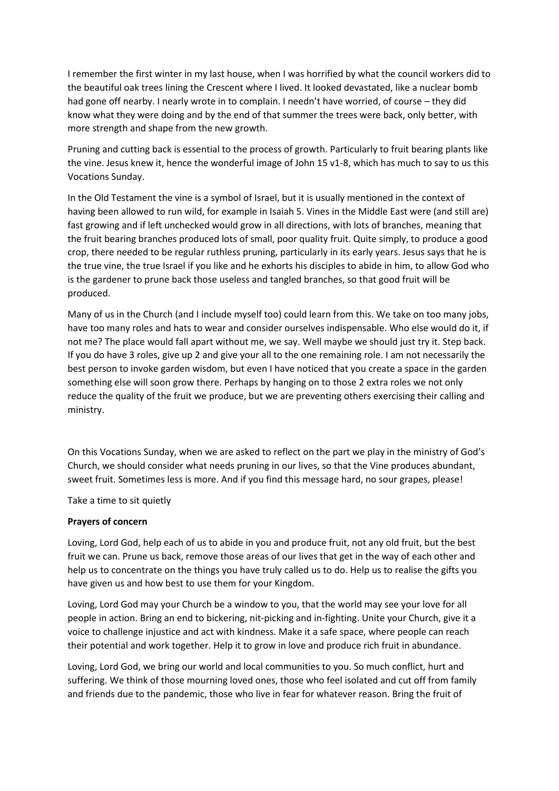I remember the first winter in my last house, when I was horrified by what the council workers did to the beautiful oak trees lining the Crescent where I lived. It looked devastated, like a nuclear bomb had gone off nearby. I nearly wrote in to complain. I needn't have worried, of course – they did know what they were doing and by the end of that summer the trees were back, only better, with more strength and shape from the new growth.

Pruning and cutting back is essential to the process of growth. Particularly to fruit bearing plants like the vine. Jesus knew it, hence the wonderful image of John 15 v1-8, which has much to say to us this Vocations Sunday.

In the Old Testament the vine is a symbol of Israel, but it is usually mentioned in the context of having been allowed to run wild, for example in Isaiah 5. Vines in the Middle East were (and still are) fast growing and if left unchecked would grow in all directions, with lots of branches, meaning that the fruit bearing branches produced lots of small, poor quality fruit. Quite simply, to produce a good crop, there needed to be regular ruthless pruning, particularly in its early years. Jesus says that he is the true vine, the true Israel if you like and he exhorts his disciples to abide in him, to allow God who is the gardener to prune back those useless and tangled branches, so that good fruit will be produced.

Many of us in the Church (and I include myself too) could learn from this. We take on too many jobs, have too many roles and hats to wear and consider ourselves indispensable. Who else would do it, if not me? The place would fall apart without me, we say. Well maybe we should just try it. Step back. If you do have 3 roles, give up 2 and give your all to the one remaining role. I am not necessarily the best person to invoke garden wisdom, but even I have noticed that you create a space in the garden something else will soon grow there. Perhaps by hanging on to those 2 extra roles we not only reduce the quality of the fruit we produce, but we are preventing others exercising their calling and ministry.

On this Vocations Sunday, when we are asked to reflect on the part we play in the ministry of God's Church, we should consider what needs pruning in our lives, so that the Vine produces abundant, sweet fruit. Sometimes less is more. And if you find this message hard, no sour grapes, please!

Take a time to sit quietly

#### **Prayers of concern**

Loving, Lord God, help each of us to abide in you and produce fruit, not any old fruit, but the best fruit we can. Prune us back, remove those areas of our lives that get in the way of each other and help us to concentrate on the things you have truly called us to do. Help us to realise the gifts you have given us and how best to use them for your Kingdom.

Loving, Lord God may your Church be a window to you, that the world may see your love for all people in action. Bring an end to bickering, nit-picking and in-fighting. Unite your Church, give it a voice to challenge injustice and act with kindness. Make it a safe space, where people can reach their potential and work together. Help it to grow in love and produce rich fruit in abundance.

Loving, Lord God, we bring our world and local communities to you. So much conflict, hurt and suffering. We think of those mourning loved ones, those who feel isolated and cut off from family and friends due to the pandemic, those who live in fear for whatever reason. Bring the fruit of